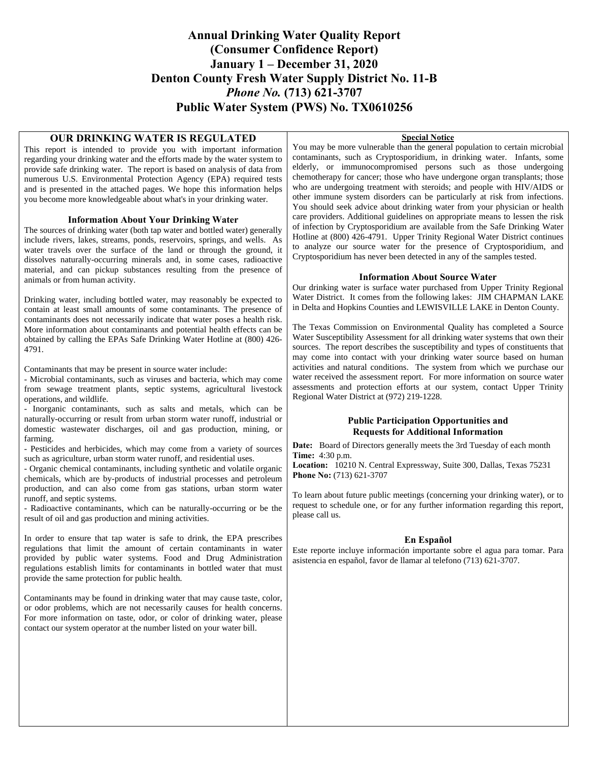## **Annual Drinking Water Quality Report (Consumer Confidence Report) January 1 – December 31, 2020 Denton County Fresh Water Supply District No. 11-B**  *Phone No.* **(713) 621-3707 Public Water System (PWS) No. TX0610256**

### **OUR DRINKING WATER IS REGULATED**

This report is intended to provide you with important information regarding your drinking water and the efforts made by the water system to provide safe drinking water. The report is based on analysis of data from numerous U.S. Environmental Protection Agency (EPA) required tests and is presented in the attached pages. We hope this information helps you become more knowledgeable about what's in your drinking water.

### **Information About Your Drinking Water**

The sources of drinking water (both tap water and bottled water) generally include rivers, lakes, streams, ponds, reservoirs, springs, and wells. As water travels over the surface of the land or through the ground, it dissolves naturally-occurring minerals and, in some cases, radioactive material, and can pickup substances resulting from the presence of animals or from human activity.

Drinking water, including bottled water, may reasonably be expected to contain at least small amounts of some contaminants. The presence of contaminants does not necessarily indicate that water poses a health risk. More information about contaminants and potential health effects can be obtained by calling the EPAs Safe Drinking Water Hotline at (800) 426- 4791.

Contaminants that may be present in source water include:

- Microbial contaminants, such as viruses and bacteria, which may come from sewage treatment plants, septic systems, agricultural livestock operations, and wildlife.

- Inorganic contaminants, such as salts and metals, which can be naturally-occurring or result from urban storm water runoff, industrial or domestic wastewater discharges, oil and gas production, mining, or farming.

- Pesticides and herbicides, which may come from a variety of sources such as agriculture, urban storm water runoff, and residential uses.

- Organic chemical contaminants, including synthetic and volatile organic chemicals, which are by-products of industrial processes and petroleum production, and can also come from gas stations, urban storm water runoff, and septic systems.

- Radioactive contaminants, which can be naturally-occurring or be the result of oil and gas production and mining activities.

In order to ensure that tap water is safe to drink, the EPA prescribes regulations that limit the amount of certain contaminants in water provided by public water systems. Food and Drug Administration regulations establish limits for contaminants in bottled water that must provide the same protection for public health.

Contaminants may be found in drinking water that may cause taste, color, or odor problems, which are not necessarily causes for health concerns. For more information on taste, odor, or color of drinking water, please contact our system operator at the number listed on your water bill.

### **Special Notice**

You may be more vulnerable than the general population to certain microbial contaminants, such as Cryptosporidium, in drinking water. Infants, some elderly, or immunocompromised persons such as those undergoing chemotherapy for cancer; those who have undergone organ transplants; those who are undergoing treatment with steroids; and people with HIV/AIDS or other immune system disorders can be particularly at risk from infections. You should seek advice about drinking water from your physician or health care providers. Additional guidelines on appropriate means to lessen the risk of infection by Cryptosporidium are available from the Safe Drinking Water Hotline at (800) 426-4791. Upper Trinity Regional Water District continues to analyze our source water for the presence of Cryptosporidium, and Cryptosporidium has never been detected in any of the samples tested.

### **Information About Source Water**

Our drinking water is surface water purchased from Upper Trinity Regional Water District. It comes from the following lakes: JIM CHAPMAN LAKE in Delta and Hopkins Counties and LEWISVILLE LAKE in Denton County.

The Texas Commission on Environmental Quality has completed a Source Water Susceptibility Assessment for all drinking water systems that own their sources. The report describes the susceptibility and types of constituents that may come into contact with your drinking water source based on human activities and natural conditions. The system from which we purchase our water received the assessment report. For more information on source water assessments and protection efforts at our system, contact Upper Trinity Regional Water District at (972) 219-1228.

### **Public Participation Opportunities and Requests for Additional Information**

**Date:** Board of Directors generally meets the 3rd Tuesday of each month **Time:** 4:30 p.m.

**Location:** 10210 N. Central Expressway, Suite 300, Dallas, Texas 75231 **Phone No:** (713) 621-3707

To learn about future public meetings (concerning your drinking water), or to request to schedule one, or for any further information regarding this report, please call us.

### **En Español**

Este reporte incluye información importante sobre el agua para tomar. Para asistencia en español, favor de llamar al telefono (713) 621-3707.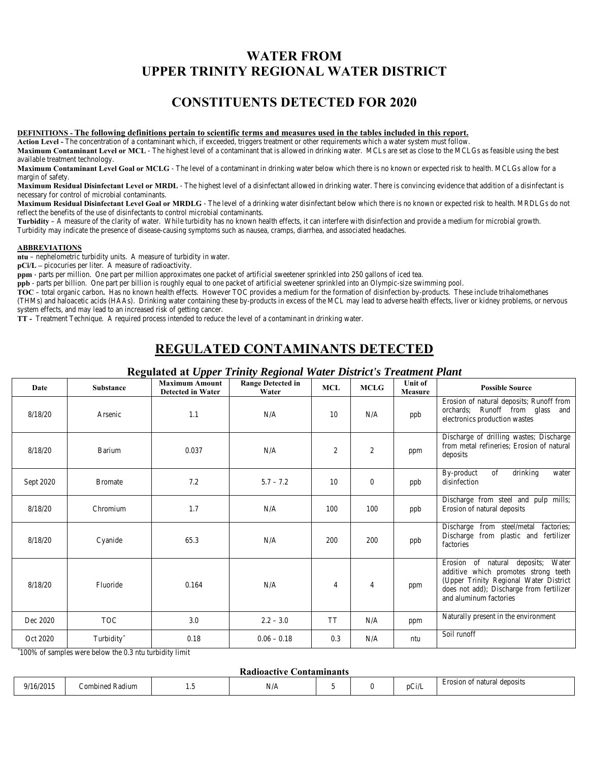# **WATER FROM UPPER TRINITY REGIONAL WATER DISTRICT**

# **CONSTITUENTS DETECTED FOR 2020**

#### **DEFINITIONS - The following definitions pertain to scientific terms and measures used in the tables included in this report.**

**Action Level -** The concentration of a contaminant which, if exceeded, triggers treatment or other requirements which a water system must follow.

**Maximum Contaminant Level or MCL** - The highest level of a contaminant that is allowed in drinking water. MCLs are set as close to the MCLGs as feasible using the best available treatment technology.

**Maximum Contaminant Level Goal or MCLG** - The level of a contaminant in drinking water below which there is no known or expected risk to health. MCLGs allow for a margin of safety.

**Maximum Residual Disinfectant Level or MRDL** - The highest level of a disinfectant allowed in drinking water. There is convincing evidence that addition of a disinfectant is necessary for control of microbial contaminants.

**Maximum Residual Disinfectant Level Goal or MRDLG** - The level of a drinking water disinfectant below which there is no known or expected risk to health. MRDLGs do not reflect the benefits of the use of disinfectants to control microbial contaminants.

**Turbidity** – A measure of the clarity of water. While turbidity has no known health effects, it can interfere with disinfection and provide a medium for microbial growth. Turbidity may indicate the presence of disease-causing symptoms such as nausea, cramps, diarrhea, and associated headaches.

#### **ABBREVIATIONS**

**ntu** – nephelometric turbidity units. A measure of turbidity in water.

**pCi/L –** picocuries per liter. A measure of radioactivity.

**ppm** - parts per million. One part per million approximates one packet of artificial sweetener sprinkled into 250 gallons of iced tea.

**ppb** - parts per billion. One part per billion is roughly equal to one packet of artificial sweetener sprinkled into an Olympic-size swimming pool.

**TOC** – total organic carbon**.** Has no known health effects. However TOC provides a medium for the formation of disinfection by-products. These include trihalomethanes (THMs) and haloacetic acids (HAAs). Drinking water containing these by-products in excess of the MCL may lead to adverse health effects, liver or kidney problems, or nervous system effects, and may lead to an increased risk of getting cancer.

**TT -** Treatment Technique. A required process intended to reduce the level of a contaminant in drinking water.

## **REGULATED CONTAMINANTS DETECTED**

| <b>Date</b>      | <b>Substance</b>       | <b>Maximum Amount</b><br><b>Detected in Water</b> | <b>Range Detected in</b><br>Water | <b>MCL</b>              | <b>MCLG</b>      | Unit of<br><b>Measure</b> | <b>Possible Source</b>                                                                                                                                                                     |
|------------------|------------------------|---------------------------------------------------|-----------------------------------|-------------------------|------------------|---------------------------|--------------------------------------------------------------------------------------------------------------------------------------------------------------------------------------------|
| 8/18/20          | <b>Arsenic</b>         | 1.1                                               | N/A                               | 10                      | N/A              | ppb                       | Erosion of natural deposits; Runoff from<br>orchards; Runoff from glass and<br>electronics production wastes                                                                               |
| 8/18/20          | <b>Barium</b>          | 0.037                                             | N/A                               | $\boldsymbol{2}$        | $\boldsymbol{2}$ | ppm                       | Discharge of drilling wastes; Discharge<br>from metal refineries; Erosion of natural<br>deposits                                                                                           |
| <b>Sept 2020</b> | <b>Bromate</b>         | 7.2                                               | $5.7 - 7.2$                       | 10                      | $\bf{0}$         | ppb                       | drinking<br>of<br><b>By-product</b><br>water<br>disinfection                                                                                                                               |
| 8/18/20          | Chromium               | 1.7                                               | N/A                               | 100                     | 100              | ppb                       | Discharge from steel and pulp mills;<br><b>Erosion of natural deposits</b>                                                                                                                 |
| 8/18/20          | Cyanide                | 65.3                                              | N/A                               | 200                     | 200              | ppb                       | Discharge from steel/metal factories;<br>Discharge from plastic and fertilizer<br>factories                                                                                                |
| 8/18/20          | Fluoride               | 0.164                                             | N/A                               | $\overline{\mathbf{4}}$ | $\overline{4}$   | ppm                       | Erosion of natural deposits; Water<br>additive which promotes strong teeth<br>(Upper Trinity Regional Water District<br>does not add); Discharge from fertilizer<br>and aluminum factories |
| Dec 2020         | <b>TOC</b>             | 3.0                                               | $2.2 - 3.0$                       | <b>TT</b>               | N/A              | ppm                       | Naturally present in the environment                                                                                                                                                       |
| Oct 2020         | Turbidity <sup>^</sup> | 0.18                                              | $0.06 - 0.18$                     | 0.3                     | N/A              | ntu                       | Soil runoff                                                                                                                                                                                |

**Regulated at** *Upper Trinity Regional Water District's Treatment Plant*

ˆ100% of samples were below the 0.3 ntu turbidity limit

#### **Radioactive Contaminants**

| .<br>- - - - -<br>.    |                               |                   |                                                       |  |  |                            |                                           |  |  |  |
|------------------------|-------------------------------|-------------------|-------------------------------------------------------|--|--|----------------------------|-------------------------------------------|--|--|--|
| '201.<br>. .<br>u<br>. | <b>Kadium</b><br>.om<br>oınec | <br>$\sim$ $\sim$ | . . <i>.</i> .<br>the contract of the contract of the |  |  | $\tilde{\phantom{a}}$<br>n | Erosio<br>atura.<br>. deposits<br>™UUSIIS |  |  |  |